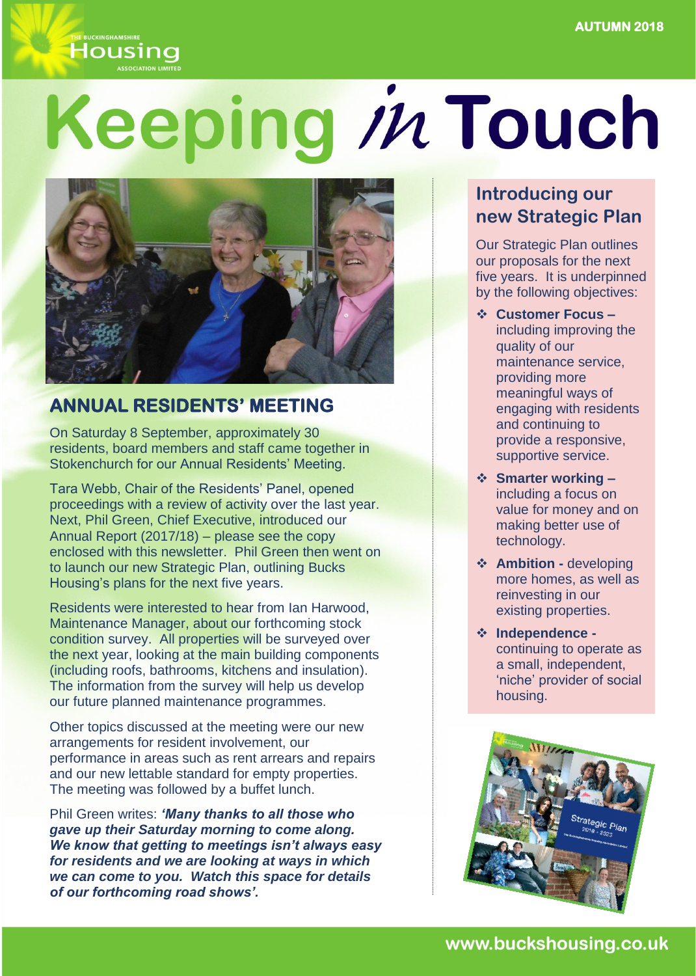Housing

# Keeping in Touch



## **ANNUAL RESIDENTS' MEETING**

On Saturday 8 September, approximately 30 residents, board members and staff came together in Stokenchurch for our Annual Residents' Meeting.

Tara Webb, Chair of the Residents' Panel, opened proceedings with a review of activity over the last year. Next, Phil Green, Chief Executive, introduced our Annual Report (2017/18) – please see the copy enclosed with this newsletter. Phil Green then went on to launch our new Strategic Plan, outlining Bucks Housing's plans for the next five years.

Residents were interested to hear from Ian Harwood, Maintenance Manager, about our forthcoming stock condition survey. All properties will be surveyed over the next year, looking at the main building components (including roofs, bathrooms, kitchens and insulation). The information from the survey will help us develop our future planned maintenance programmes.

Other topics discussed at the meeting were our new arrangements for resident involvement, our performance in areas such as rent arrears and repairs and our new lettable standard for empty properties. The meeting was followed by a buffet lunch.

Phil Green writes: *'Many thanks to all those who gave up their Saturday morning to come along. We know that getting to meetings isn't always easy for residents and we are looking at ways in which we can come to you. Watch this space for details of our forthcoming road shows'.* 

## **Introducing our new Strategic Plan**

Our Strategic Plan outlines our proposals for the next five years. It is underpinned by the following objectives:

- **Customer Focus –** including improving the quality of our maintenance service, providing more meaningful ways of engaging with residents and continuing to provide a responsive, supportive service.
- **Smarter working –** including a focus on value for money and on making better use of technology.
- **Ambition -** developing more homes, as well as reinvesting in our existing properties.
- **Independence**  continuing to operate as a small, independent, 'niche' provider of social housing.

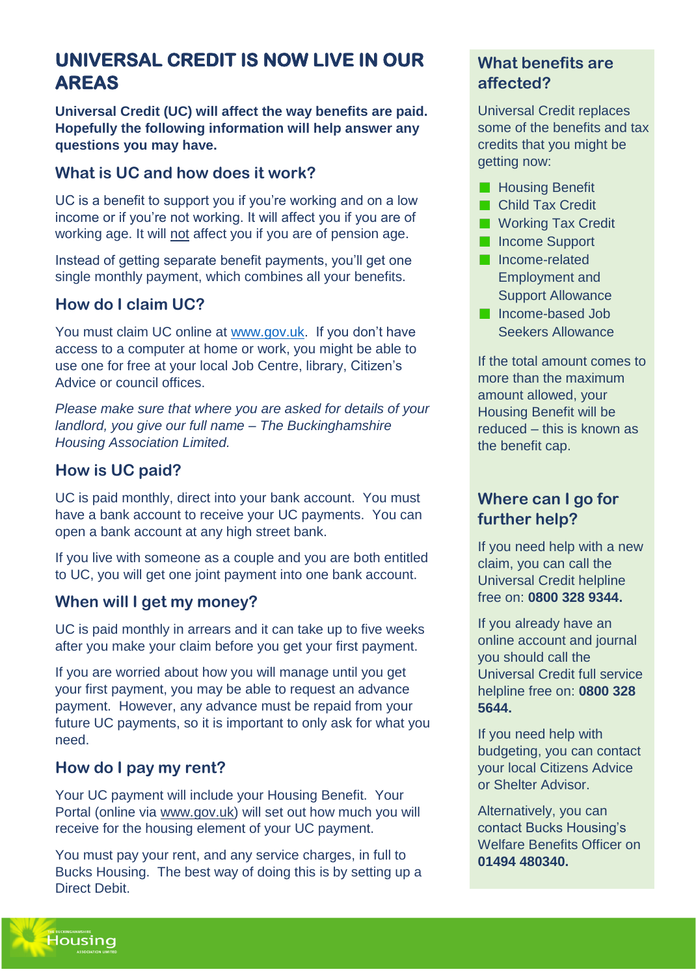## **UNIVERSAL CREDIT IS NOW LIVE IN OUR AREAS**

**Universal Credit (UC) will affect the way benefits are paid. Hopefully the following information will help answer any questions you may have.**

#### **What is UC and how does it work?**

UC is a benefit to support you if you're working and on a low income or if you're not working. It will affect you if you are of working age. It will not affect you if you are of pension age.

Instead of getting separate benefit payments, you'll get one single monthly payment, which combines all your benefits.

#### **How do I claim UC?**

You must claim UC online at [www.gov.uk.](http://www.gov.uk/) If you don't have access to a computer at home or work, you might be able to use one for free at your local Job Centre, library, Citizen's Advice or council offices.

*Please make sure that where you are asked for details of your landlord, you give our full name – The Buckinghamshire Housing Association Limited.* 

#### **How is UC paid?**

UC is paid monthly, direct into your bank account. You must have a bank account to receive your UC payments. You can open a bank account at any high street bank.

If you live with someone as a couple and you are both entitled to UC, you will get one joint payment into one bank account.

#### **When will I get my money?**

UC is paid monthly in arrears and it can take up to five weeks after you make your claim before you get your first payment.

If you are worried about how you will manage until you get your first payment, you may be able to request an advance payment. However, any advance must be repaid from your future UC payments, so it is important to only ask for what you need.

#### **How do I pay my rent?**

Your UC payment will include your Housing Benefit. Your Portal (online via [www.gov.uk\)](http://www.gov.uk/) will set out how much you will receive for the housing element of your UC payment.

You must pay your rent, and any service charges, in full to Bucks Housing. The best way of doing this is by setting up a Direct Debit.

#### **What benefits are affected?**

Universal Credit replaces some of the benefits and tax credits that you might be getting now:

- **Housing Benefit**
- **Child Tax Credit**
- **Working Tax Credit**
- **Income Support**
- **Income-related** Employment and Support Allowance
- **Income-based Job** Seekers Allowance

If the total amount comes to more than the maximum amount allowed, your Housing Benefit will be reduced – this is known as the benefit cap.

#### **Where can I go for further help?**

If you need help with a new claim, you can call the Universal Credit helpline free on: **0800 328 9344.**

If you already have an online account and journal you should call the Universal Credit full service helpline free on: **0800 328 5644.**

If you need help with budgeting, you can contact your local Citizens Advice or Shelter Advisor.

Alternatively, you can contact Bucks Housing's Welfare Benefits Officer on **01494 480340.**

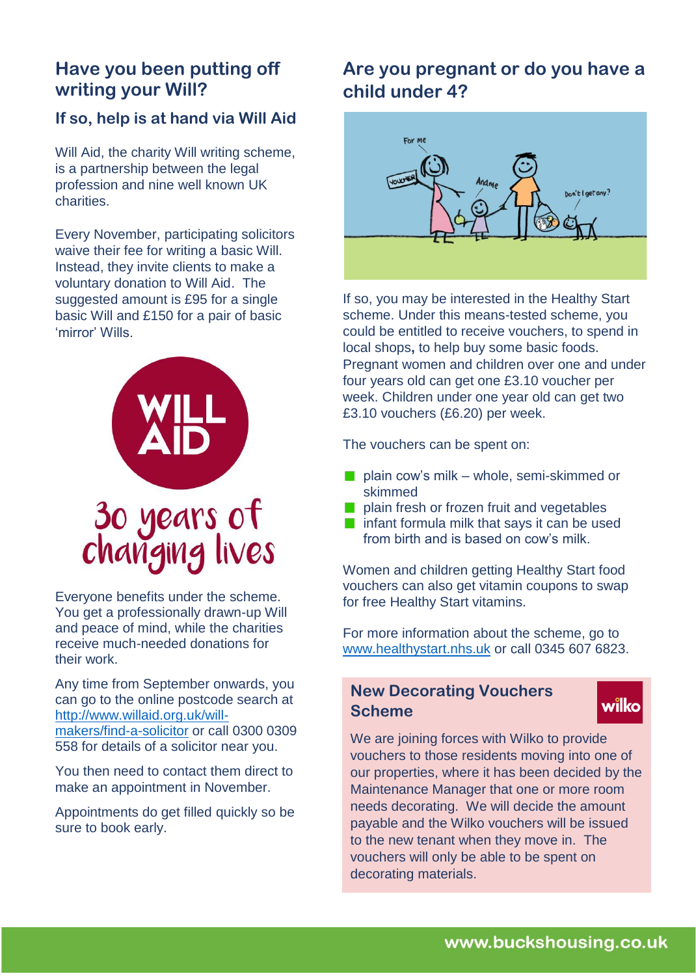## **Have you been putting off writing your Will?**

#### **If so, help is at hand via Will Aid**

Will Aid, the charity Will writing scheme, is a partnership between the legal profession and nine well known UK charities.

Every November, participating solicitors waive their fee for writing a basic Will. Instead, they invite clients to make a voluntary donation to Will Aid. The suggested amount is £95 for a single basic Will and £150 for a pair of basic 'mirror' Wills.



Everyone benefits under the scheme. You get a professionally drawn-up Will and peace of mind, while the charities receive much-needed donations for their work.

Any time from September onwards, you can go to the online postcode search at [http://www.willaid.org.uk/will](http://www.willaid.org.uk/will-makers/find-a-solicitor)[makers/find-a-solicitor](http://www.willaid.org.uk/will-makers/find-a-solicitor) or call 0300 0309 558 for details of a solicitor near you.

You then need to contact them direct to make an appointment in November.

Appointments do get filled quickly so be sure to book early.

## **Are you pregnant or do you have a child under 4?**



If so, you may be interested in the Healthy Start scheme. Under this means-tested scheme, you could be entitled to receive vouchers, to spend in local shops**,** to help buy some basic foods. Pregnant women and children over one and under four years old can get one £3.10 voucher per week. Children under one year old can get two £3.10 vouchers (£6.20) per week.

The vouchers can be spent on:

- plain cow's milk whole, semi-skimmed or skimmed
- plain fresh or frozen fruit and vegetables
- $\blacksquare$  infant formula milk that says it can be used from birth and is based on cow's milk.

Women and children getting Healthy Start food vouchers can also get vitamin coupons to swap for free Healthy Start vitamins.

For more information about the scheme, go to [www.healthystart.nhs.uk](http://www.healthystart.nhs.uk/) or call 0345 607 6823.

#### **New Decorating Vouchers Scheme**

## wilko

We are joining forces with Wilko to provide vouchers to those residents moving into one of our properties, where it has been decided by the Maintenance Manager that one or more room needs decorating. We will decide the amount payable and the Wilko vouchers will be issued to the new tenant when they move in. The vouchers will only be able to be spent on decorating materials.